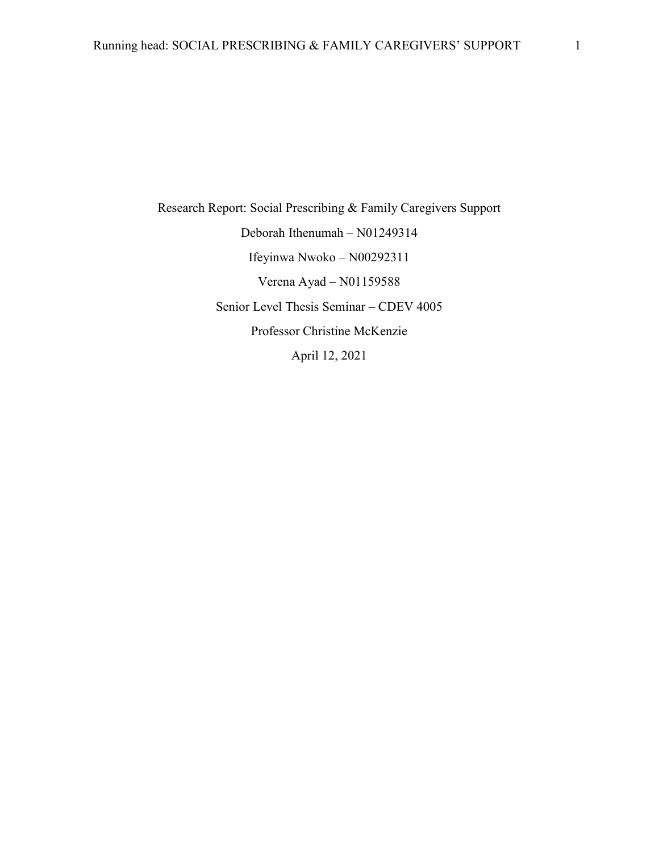Research Report: Social Prescribing & Family Caregivers Support Deborah Ithenumah – N01249314 Ifeyinwa Nwoko – N00292311 Verena Ayad – N01159588 Senior Level Thesis Seminar – CDEV 4005 Professor Christine McKenzie April 12, 2021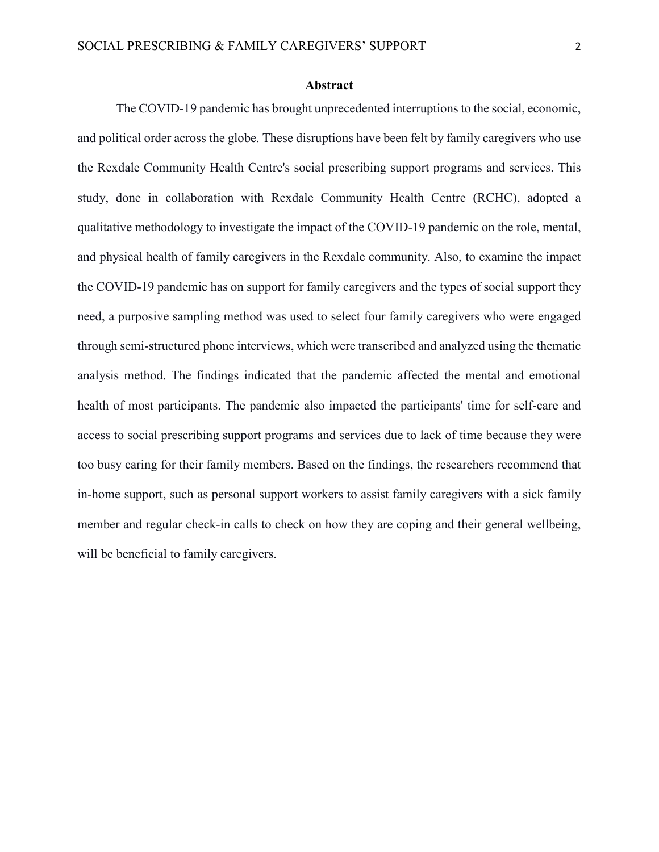#### **Abstract**

The COVID-19 pandemic has brought unprecedented interruptions to the social, economic, and political order across the globe. These disruptions have been felt by family caregivers who use the Rexdale Community Health Centre's social prescribing support programs and services. This study, done in collaboration with Rexdale Community Health Centre (RCHC), adopted a qualitative methodology to investigate the impact of the COVID-19 pandemic on the role, mental, and physical health of family caregivers in the Rexdale community. Also, to examine the impact the COVID-19 pandemic has on support for family caregivers and the types of social support they need, a purposive sampling method was used to select four family caregivers who were engaged through semi-structured phone interviews, which were transcribed and analyzed using the thematic analysis method. The findings indicated that the pandemic affected the mental and emotional health of most participants. The pandemic also impacted the participants' time for self-care and access to social prescribing support programs and services due to lack of time because they were too busy caring for their family members. Based on the findings, the researchers recommend that in-home support, such as personal support workers to assist family caregivers with a sick family member and regular check-in calls to check on how they are coping and their general wellbeing, will be beneficial to family caregivers.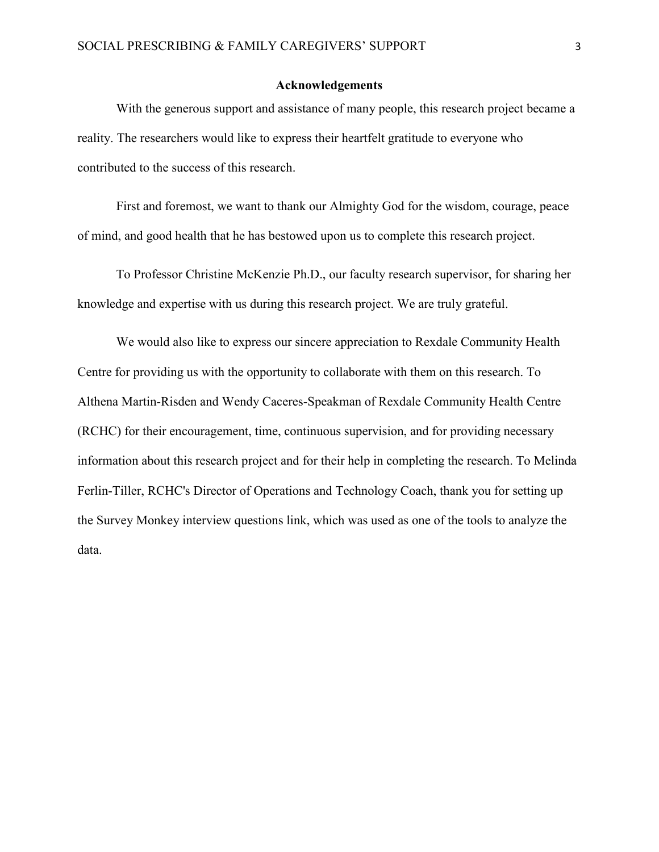#### **Acknowledgements**

With the generous support and assistance of many people, this research project became a reality. The researchers would like to express their heartfelt gratitude to everyone who contributed to the success of this research.

First and foremost, we want to thank our Almighty God for the wisdom, courage, peace of mind, and good health that he has bestowed upon us to complete this research project.

To Professor Christine McKenzie Ph.D., our faculty research supervisor, for sharing her knowledge and expertise with us during this research project. We are truly grateful.

We would also like to express our sincere appreciation to Rexdale Community Health Centre for providing us with the opportunity to collaborate with them on this research. To Althena Martin-Risden and Wendy Caceres-Speakman of Rexdale Community Health Centre (RCHC) for their encouragement, time, continuous supervision, and for providing necessary information about this research project and for their help in completing the research. To Melinda Ferlin-Tiller, RCHC's Director of Operations and Technology Coach, thank you for setting up the Survey Monkey interview questions link, which was used as one of the tools to analyze the data.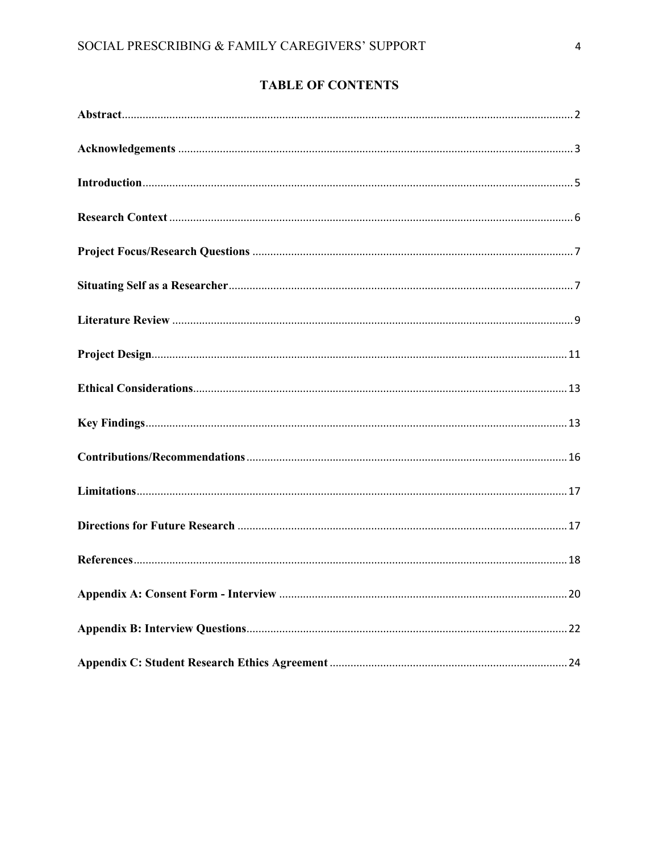# **TABLE OF CONTENTS**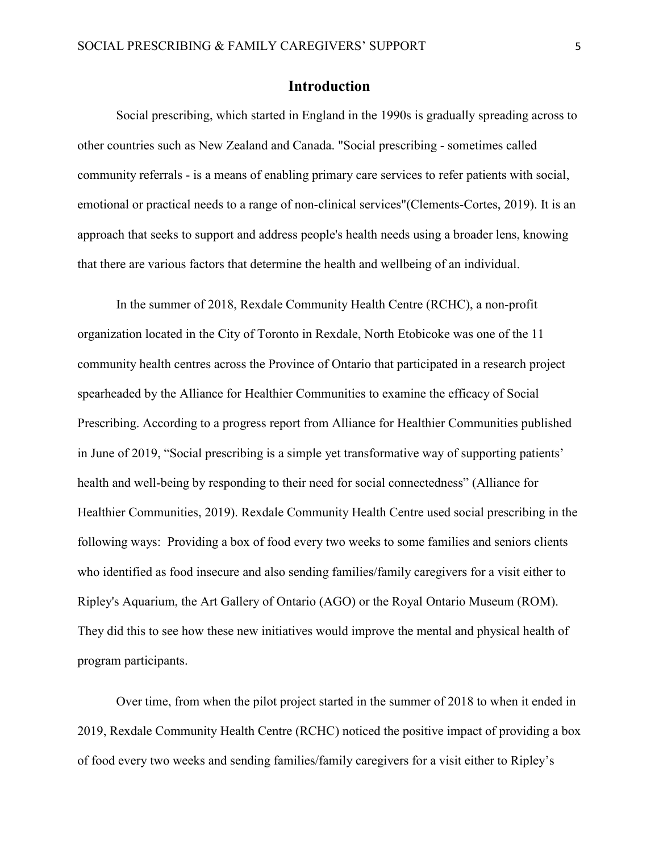## **Introduction**

Social prescribing, which started in England in the 1990s is gradually spreading across to other countries such as New Zealand and Canada. "Social prescribing - sometimes called community referrals - is a means of enabling primary care services to refer patients with social, emotional or practical needs to a range of non-clinical services"(Clements-Cortes, 2019). It is an approach that seeks to support and address people's health needs using a broader lens, knowing that there are various factors that determine the health and wellbeing of an individual.

In the summer of 2018, Rexdale Community Health Centre (RCHC), a non-profit organization located in the City of Toronto in Rexdale, North Etobicoke was one of the 11 community health centres across the Province of Ontario that participated in a research project spearheaded by the Alliance for Healthier Communities to examine the efficacy of Social Prescribing. According to a progress report from Alliance for Healthier Communities published in June of 2019, "Social prescribing is a simple yet transformative way of supporting patients' health and well-being by responding to their need for social connectedness" (Alliance for Healthier Communities, 2019). Rexdale Community Health Centre used social prescribing in the following ways: Providing a box of food every two weeks to some families and seniors clients who identified as food insecure and also sending families/family caregivers for a visit either to Ripley's Aquarium, the Art Gallery of Ontario (AGO) or the Royal Ontario Museum (ROM). They did this to see how these new initiatives would improve the mental and physical health of program participants.

Over time, from when the pilot project started in the summer of 2018 to when it ended in 2019, Rexdale Community Health Centre (RCHC) noticed the positive impact of providing a box of food every two weeks and sending families/family caregivers for a visit either to Ripley's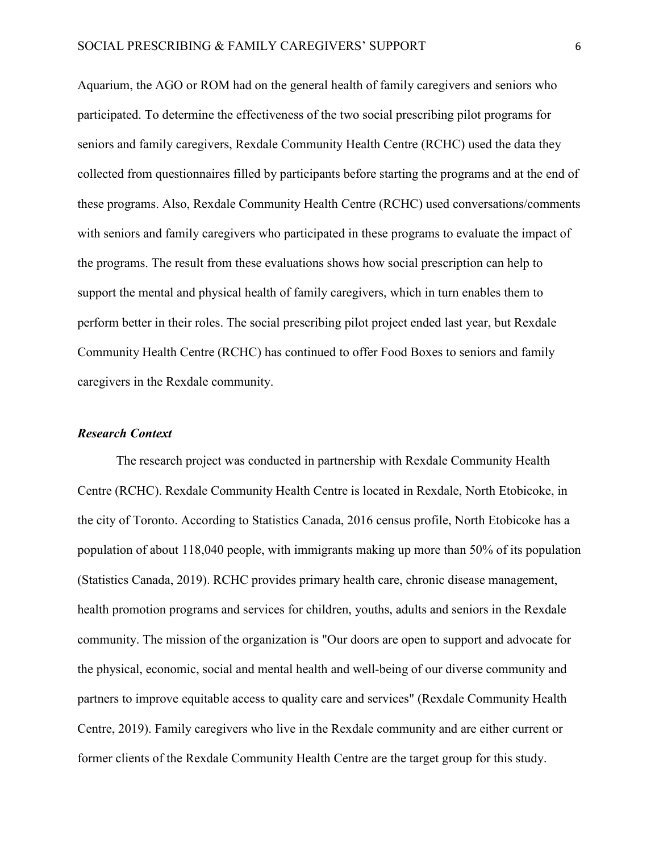Aquarium, the AGO or ROM had on the general health of family caregivers and seniors who participated. To determine the effectiveness of the two social prescribing pilot programs for seniors and family caregivers, Rexdale Community Health Centre (RCHC) used the data they collected from questionnaires filled by participants before starting the programs and at the end of these programs. Also, Rexdale Community Health Centre (RCHC) used conversations/comments with seniors and family caregivers who participated in these programs to evaluate the impact of the programs. The result from these evaluations shows how social prescription can help to support the mental and physical health of family caregivers, which in turn enables them to perform better in their roles. The social prescribing pilot project ended last year, but Rexdale Community Health Centre (RCHC) has continued to offer Food Boxes to seniors and family caregivers in the Rexdale community.

## *Research Context*

The research project was conducted in partnership with Rexdale Community Health Centre (RCHC). Rexdale Community Health Centre is located in Rexdale, North Etobicoke, in the city of Toronto. According to Statistics Canada, 2016 census profile, North Etobicoke has a population of about 118,040 people, with immigrants making up more than 50% of its population (Statistics Canada, 2019). RCHC provides primary health care, chronic disease management, health promotion programs and services for children, youths, adults and seniors in the Rexdale community. The mission of the organization is "Our doors are open to support and advocate for the physical, economic, social and mental health and well-being of our diverse community and partners to improve equitable access to quality care and services" (Rexdale Community Health Centre, 2019). Family caregivers who live in the Rexdale community and are either current or former clients of the Rexdale Community Health Centre are the target group for this study.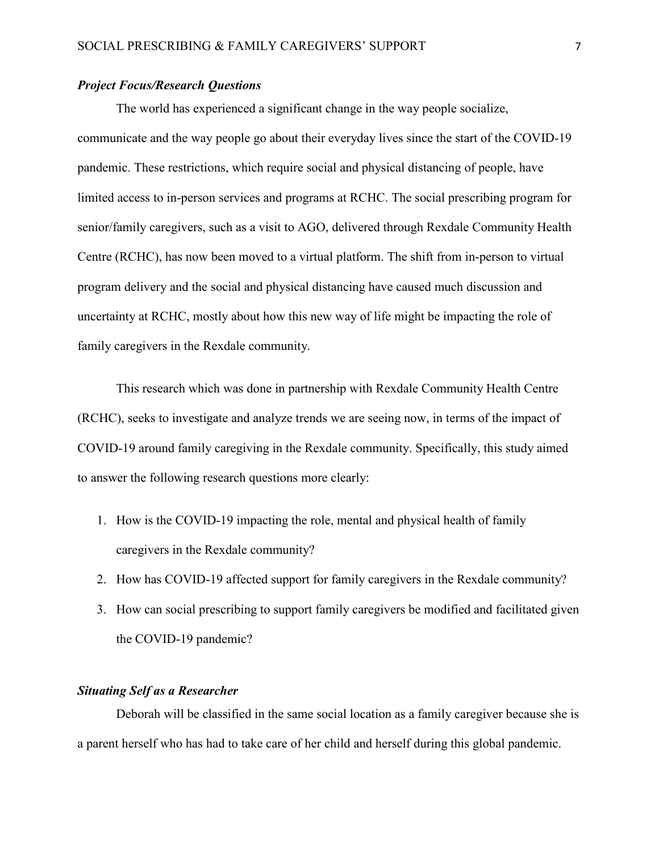### *Project Focus/Research Questions*

The world has experienced a significant change in the way people socialize, communicate and the way people go about their everyday lives since the start of the COVID-19 pandemic. These restrictions, which require social and physical distancing of people, have limited access to in-person services and programs at RCHC. The social prescribing program for senior/family caregivers, such as a visit to AGO, delivered through Rexdale Community Health Centre (RCHC), has now been moved to a virtual platform. The shift from in-person to virtual program delivery and the social and physical distancing have caused much discussion and uncertainty at RCHC, mostly about how this new way of life might be impacting the role of family caregivers in the Rexdale community.

This research which was done in partnership with Rexdale Community Health Centre (RCHC), seeks to investigate and analyze trends we are seeing now, in terms of the impact of COVID-19 around family caregiving in the Rexdale community. Specifically, this study aimed to answer the following research questions more clearly:

- 1. How is the COVID-19 impacting the role, mental and physical health of family caregivers in the Rexdale community?
- 2. How has COVID-19 affected support for family caregivers in the Rexdale community?
- 3. How can social prescribing to support family caregivers be modified and facilitated given the COVID-19 pandemic?

#### *Situating Self as a Researcher*

Deborah will be classified in the same social location as a family caregiver because she is a parent herself who has had to take care of her child and herself during this global pandemic.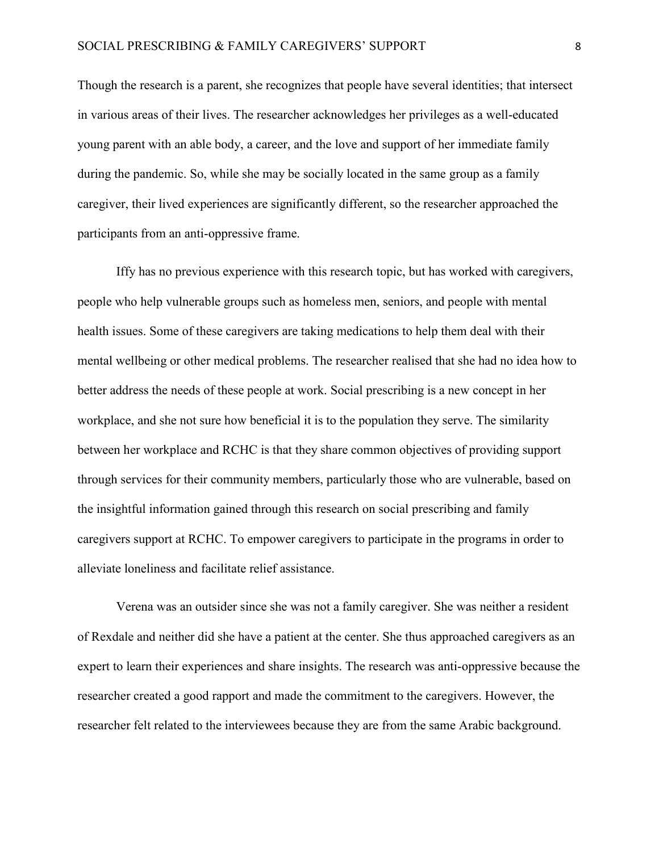Though the research is a parent, she recognizes that people have several identities; that intersect in various areas of their lives. The researcher acknowledges her privileges as a well-educated young parent with an able body, a career, and the love and support of her immediate family during the pandemic. So, while she may be socially located in the same group as a family caregiver, their lived experiences are significantly different, so the researcher approached the participants from an anti-oppressive frame.

Iffy has no previous experience with this research topic, but has worked with caregivers, people who help vulnerable groups such as homeless men, seniors, and people with mental health issues. Some of these caregivers are taking medications to help them deal with their mental wellbeing or other medical problems. The researcher realised that she had no idea how to better address the needs of these people at work. Social prescribing is a new concept in her workplace, and she not sure how beneficial it is to the population they serve. The similarity between her workplace and RCHC is that they share common objectives of providing support through services for their community members, particularly those who are vulnerable, based on the insightful information gained through this research on social prescribing and family caregivers support at RCHC. To empower caregivers to participate in the programs in order to alleviate loneliness and facilitate relief assistance.

Verena was an outsider since she was not a family caregiver. She was neither a resident of Rexdale and neither did she have a patient at the center. She thus approached caregivers as an expert to learn their experiences and share insights. The research was anti-oppressive because the researcher created a good rapport and made the commitment to the caregivers. However, the researcher felt related to the interviewees because they are from the same Arabic background.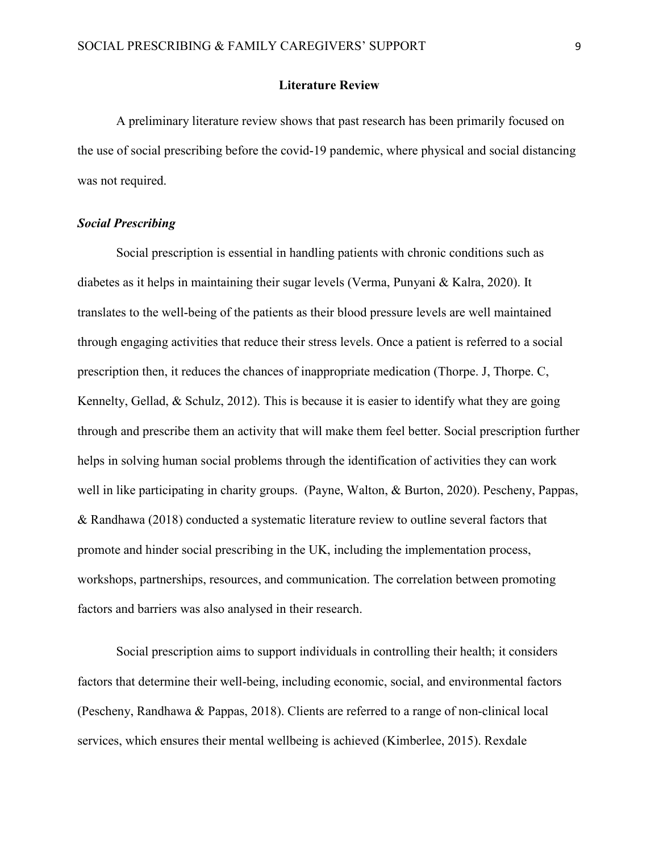### **Literature Review**

A preliminary literature review shows that past research has been primarily focused on the use of social prescribing before the covid-19 pandemic, where physical and social distancing was not required.

#### *Social Prescribing*

Social prescription is essential in handling patients with chronic conditions such as diabetes as it helps in maintaining their sugar levels (Verma, Punyani & Kalra, 2020). It translates to the well-being of the patients as their blood pressure levels are well maintained through engaging activities that reduce their stress levels. Once a patient is referred to a social prescription then, it reduces the chances of inappropriate medication (Thorpe. J, Thorpe. C, Kennelty, Gellad, & Schulz, 2012). This is because it is easier to identify what they are going through and prescribe them an activity that will make them feel better. Social prescription further helps in solving human social problems through the identification of activities they can work well in like participating in charity groups. (Payne, Walton, & Burton, 2020). Pescheny, Pappas, & Randhawa (2018) conducted a systematic literature review to outline several factors that promote and hinder social prescribing in the UK, including the implementation process, workshops, partnerships, resources, and communication. The correlation between promoting factors and barriers was also analysed in their research.

Social prescription aims to support individuals in controlling their health; it considers factors that determine their well-being, including economic, social, and environmental factors (Pescheny, Randhawa & Pappas, 2018). Clients are referred to a range of non-clinical local services, which ensures their mental wellbeing is achieved (Kimberlee, 2015). Rexdale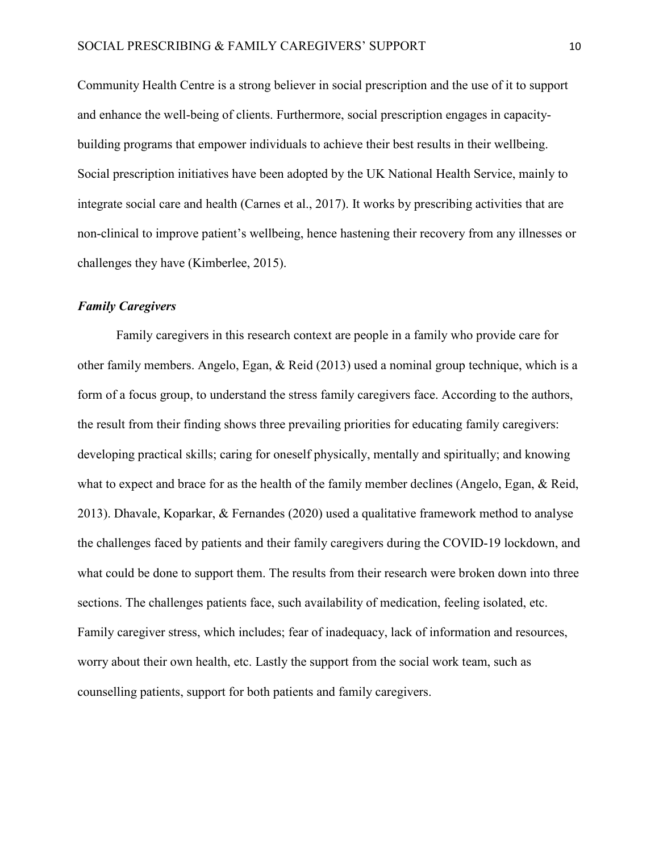Community Health Centre is a strong believer in social prescription and the use of it to support and enhance the well-being of clients. Furthermore, social prescription engages in capacitybuilding programs that empower individuals to achieve their best results in their wellbeing. Social prescription initiatives have been adopted by the UK National Health Service, mainly to integrate social care and health (Carnes et al., 2017). It works by prescribing activities that are non-clinical to improve patient's wellbeing, hence hastening their recovery from any illnesses or challenges they have (Kimberlee, 2015).

#### *Family Caregivers*

Family caregivers in this research context are people in a family who provide care for other family members. Angelo, Egan, & Reid (2013) used a nominal group technique, which is a form of a focus group, to understand the stress family caregivers face. According to the authors, the result from their finding shows three prevailing priorities for educating family caregivers: developing practical skills; caring for oneself physically, mentally and spiritually; and knowing what to expect and brace for as the health of the family member declines (Angelo, Egan, & Reid, 2013). Dhavale, Koparkar, & Fernandes (2020) used a qualitative framework method to analyse the challenges faced by patients and their family caregivers during the COVID-19 lockdown, and what could be done to support them. The results from their research were broken down into three sections. The challenges patients face, such availability of medication, feeling isolated, etc. Family caregiver stress, which includes; fear of inadequacy, lack of information and resources, worry about their own health, etc. Lastly the support from the social work team, such as counselling patients, support for both patients and family caregivers.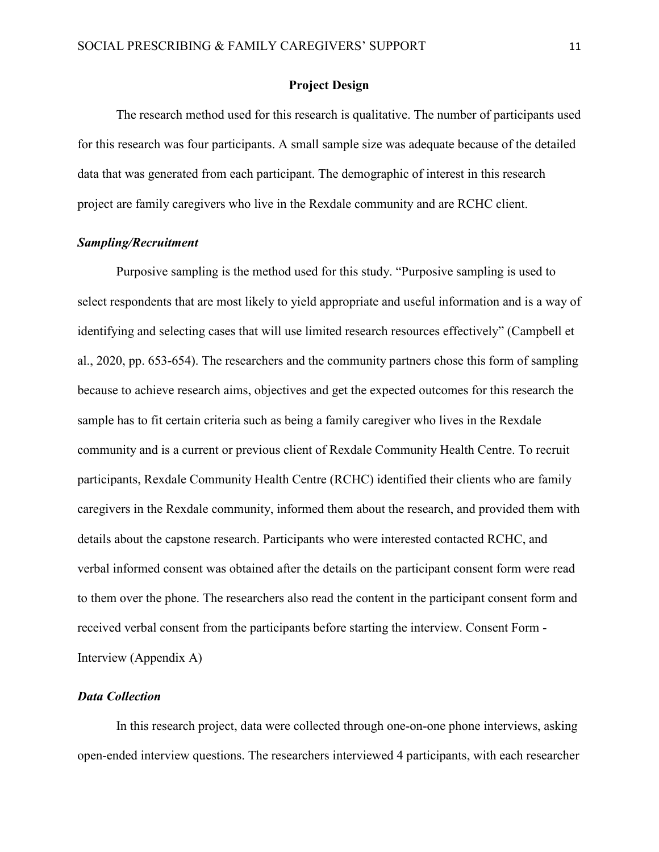### **Project Design**

The research method used for this research is qualitative. The number of participants used for this research was four participants. A small sample size was adequate because of the detailed data that was generated from each participant. The demographic of interest in this research project are family caregivers who live in the Rexdale community and are RCHC client.

## *Sampling/Recruitment*

Purposive sampling is the method used for this study. "Purposive sampling is used to select respondents that are most likely to yield appropriate and useful information and is a way of identifying and selecting cases that will use limited research resources effectively" (Campbell et al., 2020, pp. 653-654). The researchers and the community partners chose this form of sampling because to achieve research aims, objectives and get the expected outcomes for this research the sample has to fit certain criteria such as being a family caregiver who lives in the Rexdale community and is a current or previous client of Rexdale Community Health Centre. To recruit participants, Rexdale Community Health Centre (RCHC) identified their clients who are family caregivers in the Rexdale community, informed them about the research, and provided them with details about the capstone research. Participants who were interested contacted RCHC, and verbal informed consent was obtained after the details on the participant consent form were read to them over the phone. The researchers also read the content in the participant consent form and received verbal consent from the participants before starting the interview. Consent Form - Interview (Appendix A)

### *Data Collection*

In this research project, data were collected through one-on-one phone interviews, asking open-ended interview questions. The researchers interviewed 4 participants, with each researcher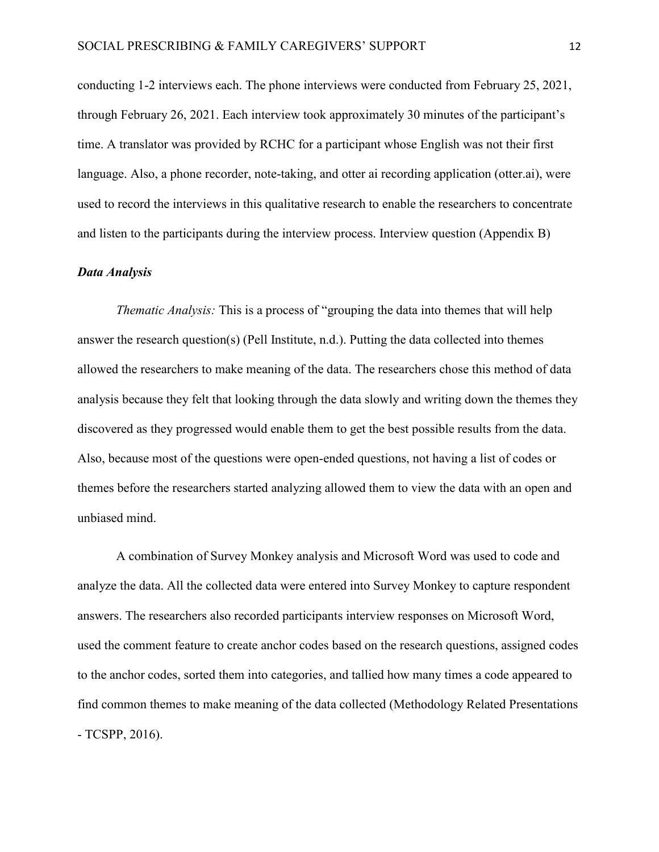conducting 1-2 interviews each. The phone interviews were conducted from February 25, 2021, through February 26, 2021. Each interview took approximately 30 minutes of the participant's time. A translator was provided by RCHC for a participant whose English was not their first language. Also, a phone recorder, note-taking, and otter ai recording application (otter.ai), were used to record the interviews in this qualitative research to enable the researchers to concentrate and listen to the participants during the interview process. Interview question (Appendix B)

### *Data Analysis*

*Thematic Analysis:* This is a process of "grouping the data into themes that will help answer the research question(s) (Pell Institute, n.d.). Putting the data collected into themes allowed the researchers to make meaning of the data. The researchers chose this method of data analysis because they felt that looking through the data slowly and writing down the themes they discovered as they progressed would enable them to get the best possible results from the data. Also, because most of the questions were open-ended questions, not having a list of codes or themes before the researchers started analyzing allowed them to view the data with an open and unbiased mind.

A combination of Survey Monkey analysis and Microsoft Word was used to code and analyze the data. All the collected data were entered into Survey Monkey to capture respondent answers. The researchers also recorded participants interview responses on Microsoft Word, used the comment feature to create anchor codes based on the research questions, assigned codes to the anchor codes, sorted them into categories, and tallied how many times a code appeared to find common themes to make meaning of the data collected (Methodology Related Presentations - TCSPP, 2016).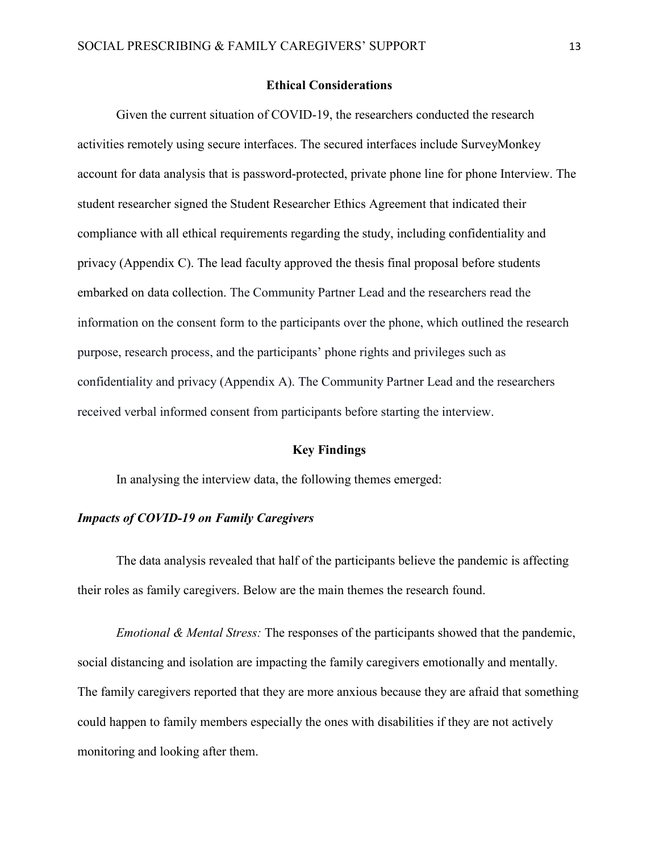#### **Ethical Considerations**

Given the current situation of COVID-19, the researchers conducted the research activities remotely using secure interfaces. The secured interfaces include SurveyMonkey account for data analysis that is password-protected, private phone line for phone Interview. The student researcher signed the Student Researcher Ethics Agreement that indicated their compliance with all ethical requirements regarding the study, including confidentiality and privacy (Appendix C). The lead faculty approved the thesis final proposal before students embarked on data collection. The Community Partner Lead and the researchers read the information on the consent form to the participants over the phone, which outlined the research purpose, research process, and the participants' phone rights and privileges such as confidentiality and privacy (Appendix A). The Community Partner Lead and the researchers received verbal informed consent from participants before starting the interview.

### **Key Findings**

In analysing the interview data, the following themes emerged:

## *Impacts of COVID-19 on Family Caregivers*

The data analysis revealed that half of the participants believe the pandemic is affecting their roles as family caregivers. Below are the main themes the research found.

*Emotional & Mental Stress:* The responses of the participants showed that the pandemic, social distancing and isolation are impacting the family caregivers emotionally and mentally. The family caregivers reported that they are more anxious because they are afraid that something could happen to family members especially the ones with disabilities if they are not actively monitoring and looking after them.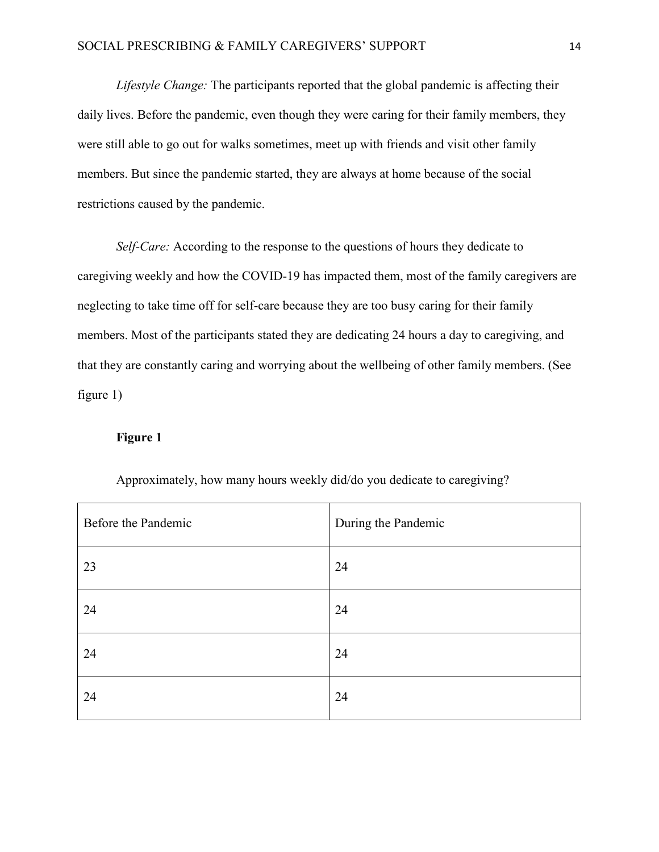*Lifestyle Change:* The participants reported that the global pandemic is affecting their daily lives. Before the pandemic, even though they were caring for their family members, they were still able to go out for walks sometimes, meet up with friends and visit other family members. But since the pandemic started, they are always at home because of the social restrictions caused by the pandemic.

*Self-Care:* According to the response to the questions of hours they dedicate to caregiving weekly and how the COVID-19 has impacted them, most of the family caregivers are neglecting to take time off for self-care because they are too busy caring for their family members. Most of the participants stated they are dedicating 24 hours a day to caregiving, and that they are constantly caring and worrying about the wellbeing of other family members. (See figure 1)

## **Figure 1**

| Before the Pandemic | During the Pandemic |
|---------------------|---------------------|
| 23                  | 24                  |
| 24                  | 24                  |
| 24                  | 24                  |
| 24                  | 24                  |

Approximately, how many hours weekly did/do you dedicate to caregiving?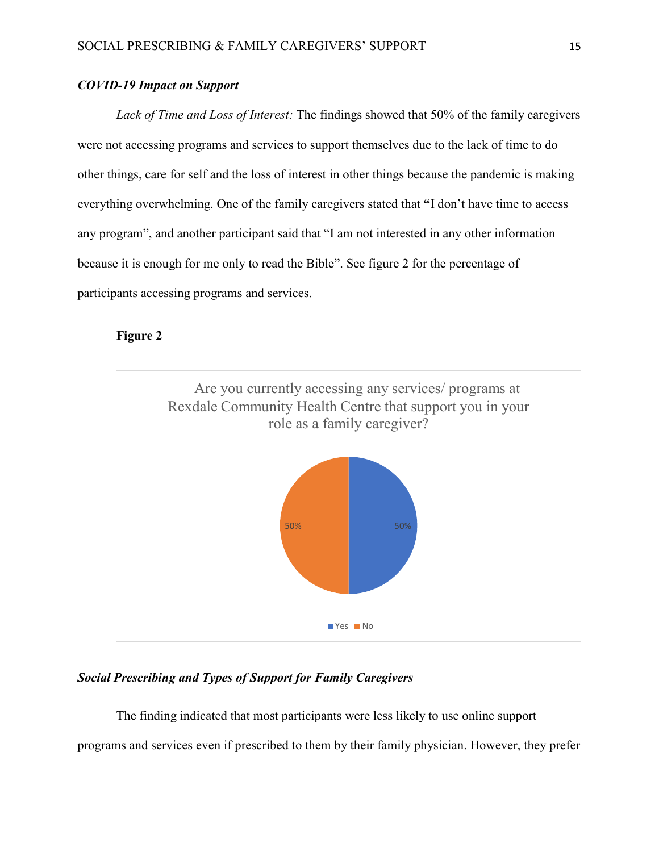## *COVID-19 Impact on Support*

*Lack of Time and Loss of Interest:* The findings showed that 50% of the family caregivers were not accessing programs and services to support themselves due to the lack of time to do other things, care for self and the loss of interest in other things because the pandemic is making everything overwhelming. One of the family caregivers stated that **"**I don't have time to access any program", and another participant said that "I am not interested in any other information because it is enough for me only to read the Bible". See figure 2 for the percentage of participants accessing programs and services.

## **Figure 2**



## *Social Prescribing and Types of Support for Family Caregivers*

The finding indicated that most participants were less likely to use online support programs and services even if prescribed to them by their family physician. However, they prefer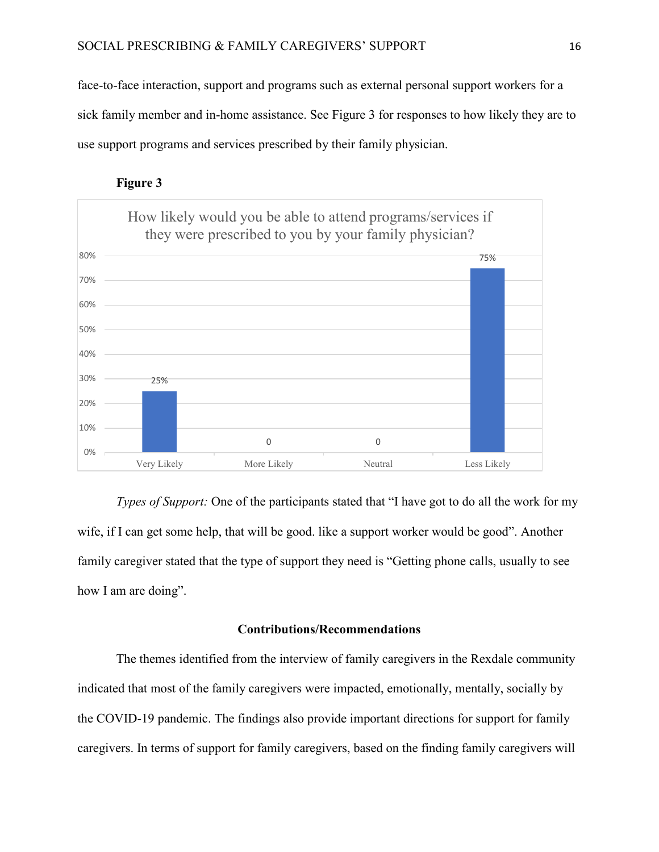face-to-face interaction, support and programs such as external personal support workers for a sick family member and in-home assistance. See Figure 3 for responses to how likely they are to use support programs and services prescribed by their family physician.





*Types of Support:* One of the participants stated that "I have got to do all the work for my wife, if I can get some help, that will be good. like a support worker would be good". Another family caregiver stated that the type of support they need is "Getting phone calls, usually to see how I am are doing".

## **Contributions/Recommendations**

The themes identified from the interview of family caregivers in the Rexdale community indicated that most of the family caregivers were impacted, emotionally, mentally, socially by the COVID-19 pandemic. The findings also provide important directions for support for family caregivers. In terms of support for family caregivers, based on the finding family caregivers will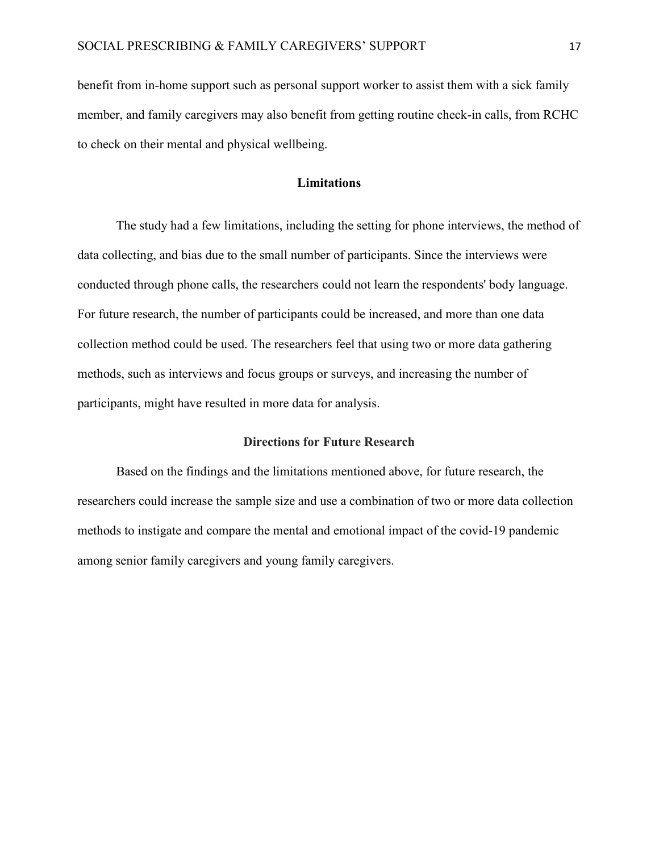benefit from in-home support such as personal support worker to assist them with a sick family member, and family caregivers may also benefit from getting routine check-in calls, from RCHC to check on their mental and physical wellbeing.

### **Limitations**

The study had a few limitations, including the setting for phone interviews, the method of data collecting, and bias due to the small number of participants. Since the interviews were conducted through phone calls, the researchers could not learn the respondents' body language. For future research, the number of participants could be increased, and more than one data collection method could be used. The researchers feel that using two or more data gathering methods, such as interviews and focus groups or surveys, and increasing the number of participants, might have resulted in more data for analysis.

## **Directions for Future Research**

Based on the findings and the limitations mentioned above, for future research, the researchers could increase the sample size and use a combination of two or more data collection methods to instigate and compare the mental and emotional impact of the covid-19 pandemic among senior family caregivers and young family caregivers.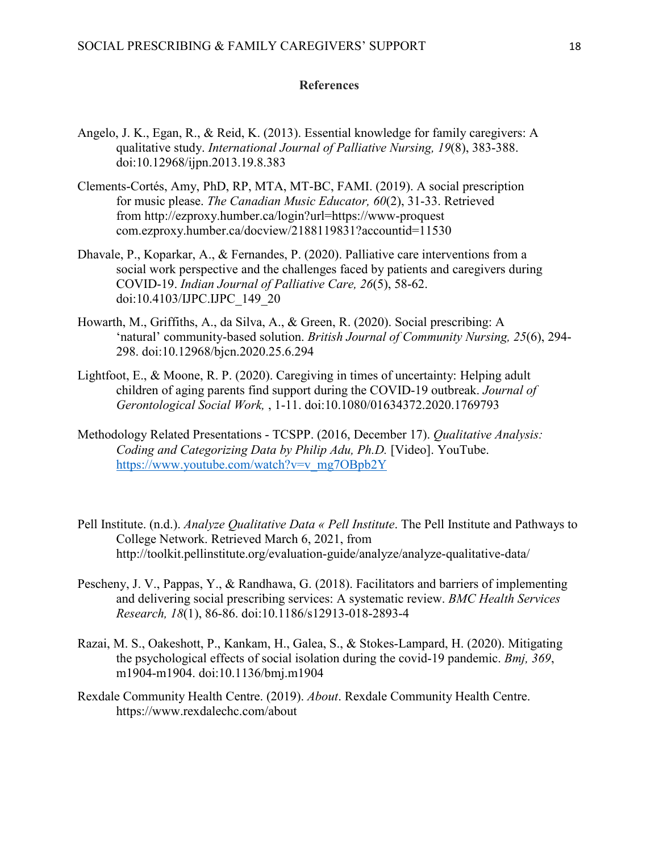### **References**

- Angelo, J. K., Egan, R., & Reid, K. (2013). Essential knowledge for family caregivers: A qualitative study. *International Journal of Palliative Nursing, 19*(8), 383-388. doi:10.12968/ijpn.2013.19.8.383
- Clements-Cortés, Amy, PhD, RP, MTA, MT-BC, FAMI. (2019). A social prescription for music please. *The Canadian Music Educator, 60*(2), 31-33. Retrieved from http://ezproxy.humber.ca/login?url=https://www-proquest com.ezproxy.humber.ca/docview/2188119831?accountid=11530
- Dhavale, P., Koparkar, A., & Fernandes, P. (2020). Palliative care interventions from a social work perspective and the challenges faced by patients and caregivers during COVID-19. *Indian Journal of Palliative Care, 26*(5), 58-62. doi:10.4103/IJPC.IJPC\_149\_20
- Howarth, M., Griffiths, A., da Silva, A., & Green, R. (2020). Social prescribing: A 'natural' community-based solution. *British Journal of Community Nursing, 25*(6), 294- 298. doi:10.12968/bjcn.2020.25.6.294
- Lightfoot, E., & Moone, R. P. (2020). Caregiving in times of uncertainty: Helping adult children of aging parents find support during the COVID-19 outbreak. *Journal of Gerontological Social Work,* , 1-11. doi:10.1080/01634372.2020.1769793
- Methodology Related Presentations TCSPP. (2016, December 17). *Qualitative Analysis: Coding and Categorizing Data by Philip Adu, Ph.D.* [Video]. YouTube. [https://www.youtube.com/watch?v=v\\_mg7OBpb2Y](https://www.youtube.com/watch?v=v_mg7OBpb2Y)
- Pell Institute. (n.d.). *Analyze Qualitative Data « Pell Institute*. The Pell Institute and Pathways to College Network. Retrieved March 6, 2021, from http://toolkit.pellinstitute.org/evaluation-guide/analyze/analyze-qualitative-data/
- Pescheny, J. V., Pappas, Y., & Randhawa, G. (2018). Facilitators and barriers of implementing and delivering social prescribing services: A systematic review. *BMC Health Services Research, 18*(1), 86-86. doi:10.1186/s12913-018-2893-4
- Razai, M. S., Oakeshott, P., Kankam, H., Galea, S., & Stokes-Lampard, H. (2020). Mitigating the psychological effects of social isolation during the covid-19 pandemic. *Bmj, 369*, m1904-m1904. doi:10.1136/bmj.m1904
- Rexdale Community Health Centre. (2019). *About*. Rexdale Community Health Centre. https://www.rexdalechc.com/about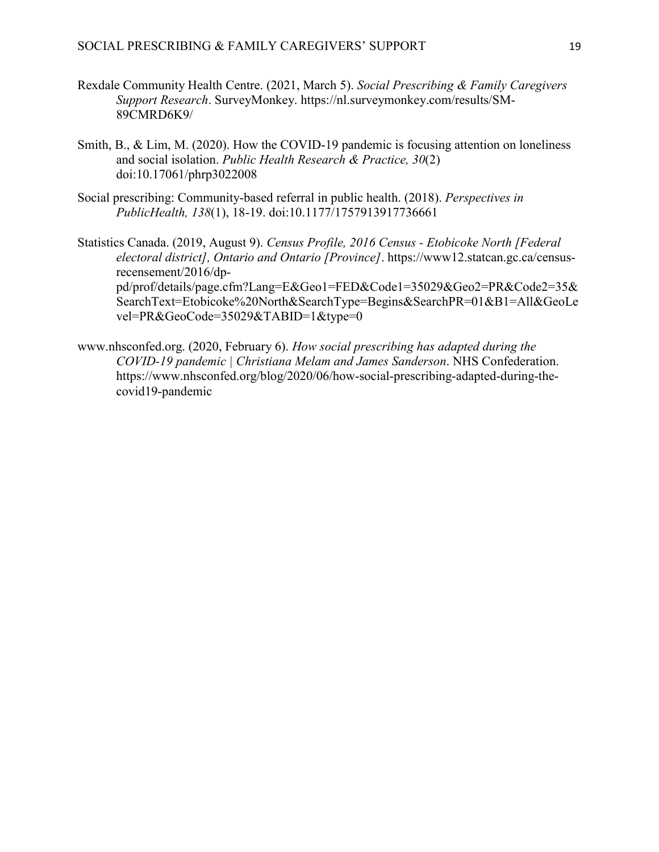- Rexdale Community Health Centre. (2021, March 5). *Social Prescribing & Family Caregivers Support Research*. SurveyMonkey. https://nl.surveymonkey.com/results/SM-89CMRD6K9/
- Smith, B., & Lim, M. (2020). How the COVID-19 pandemic is focusing attention on loneliness and social isolation. *Public Health Research & Practice, 30*(2) doi:10.17061/phrp3022008
- Social prescribing: Community-based referral in public health. (2018). *Perspectives in PublicHealth, 138*(1), 18-19. doi:10.1177/1757913917736661

Statistics Canada. (2019, August 9). *Census Profile, 2016 Census - Etobicoke North [Federal electoral district], Ontario and Ontario [Province]*. https://www12.statcan.gc.ca/censusrecensement/2016/dppd/prof/details/page.cfm?Lang=E&Geo1=FED&Code1=35029&Geo2=PR&Code2=35& SearchText=Etobicoke%20North&SearchType=Begins&SearchPR=01&B1=All&GeoLe vel=PR&GeoCode=35029&TABID=1&type=0

www.nhsconfed.org. (2020, February 6). *How social prescribing has adapted during the COVID-19 pandemic | Christiana Melam and James Sanderson*. NHS Confederation. https://www.nhsconfed.org/blog/2020/06/how-social-prescribing-adapted-during-thecovid19-pandemic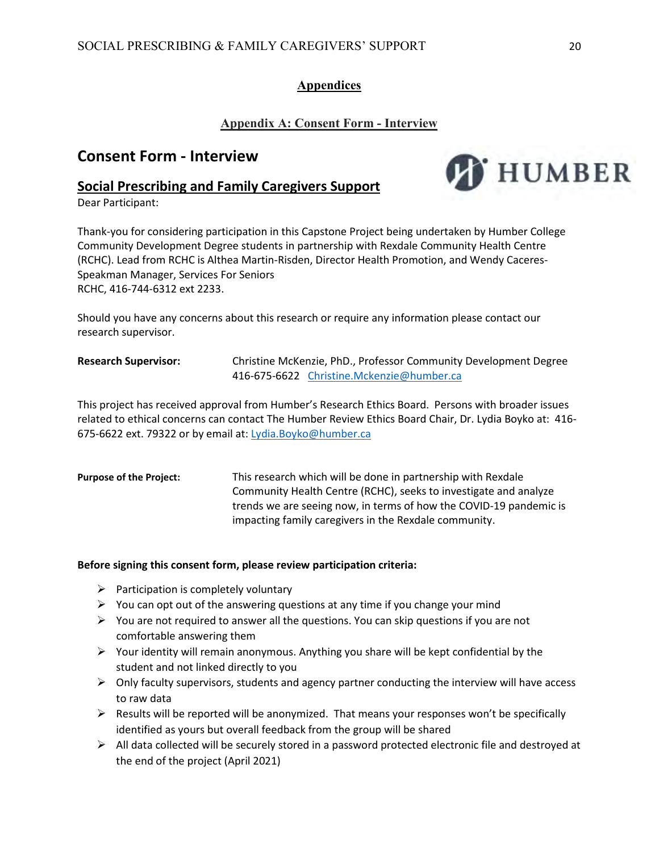# **Appendices**

## **Appendix A: Consent Form - Interview**

# **Consent Form - Interview**

## **Social Prescribing and Family Caregivers Support**

Dear Participant:



Thank-you for considering participation in this Capstone Project being undertaken by Humber College Community Development Degree students in partnership with Rexdale Community Health Centre (RCHC). Lead from RCHC is Althea Martin-Risden, Director Health Promotion, and Wendy Caceres-Speakman Manager, Services For Seniors RCHC, 416-744-6312 ext 2233.

Should you have any concerns about this research or require any information please contact our research supervisor.

**Research Supervisor:** Christine McKenzie, PhD., Professor Community Development Degree 416-675-6622 [Christine.Mckenzie@humber.ca](mailto:Christine.Mckenzie@humber.ca)

This project has received approval from Humber's Research Ethics Board. Persons with broader issues related to ethical concerns can contact The Humber Review Ethics Board Chair, Dr. Lydia Boyko at: 416- 675-6622 ext. 79322 or by email at: [Lydia.Boyko@humber.ca](mailto:Lydia.Boyko@humber.ca)

**Purpose of the Project:** This research which will be done in partnership with Rexdale Community Health Centre (RCHC), seeks to investigate and analyze trends we are seeing now, in terms of how the COVID-19 pandemic is impacting family caregivers in the Rexdale community.

### **Before signing this consent form, please review participation criteria:**

- $\triangleright$  Participation is completely voluntary
- $\triangleright$  You can opt out of the answering questions at any time if you change your mind
- $\triangleright$  You are not required to answer all the questions. You can skip questions if you are not comfortable answering them
- $\triangleright$  Your identity will remain anonymous. Anything you share will be kept confidential by the student and not linked directly to you
- $\triangleright$  Only faculty supervisors, students and agency partner conducting the interview will have access to raw data
- $\triangleright$  Results will be reported will be anonymized. That means your responses won't be specifically identified as yours but overall feedback from the group will be shared
- $\triangleright$  All data collected will be securely stored in a password protected electronic file and destroyed at the end of the project (April 2021)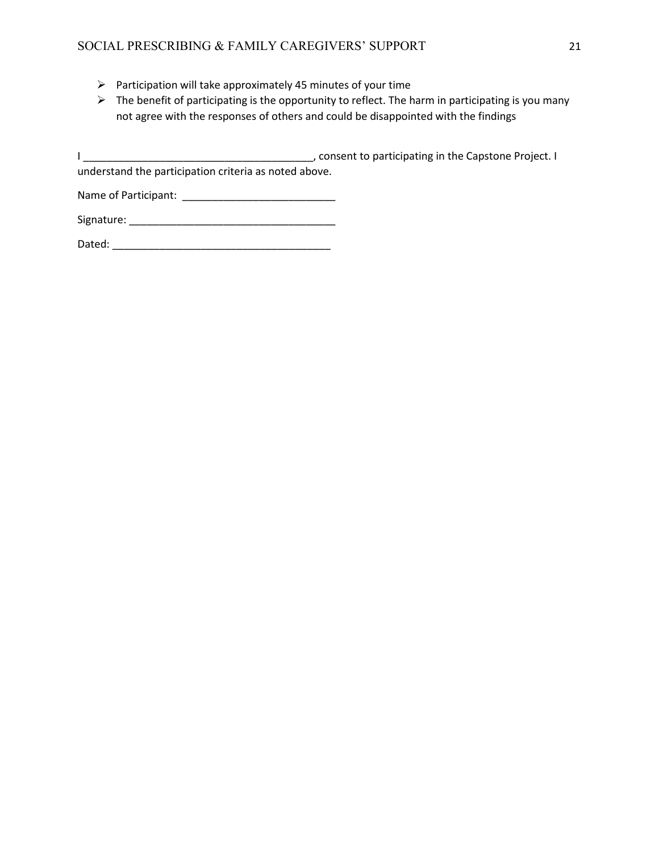- $\triangleright$  Participation will take approximately 45 minutes of your time
- $\triangleright$  The benefit of participating is the opportunity to reflect. The harm in participating is you many not agree with the responses of others and could be disappointed with the findings

I \_\_\_\_\_\_\_\_\_\_\_\_\_\_\_\_\_\_\_\_\_\_\_\_\_\_\_\_\_\_\_\_\_\_\_\_\_\_\_, consent to participating in the Capstone Project. I understand the participation criteria as noted above.

Name of Participant: \_\_\_\_\_\_\_\_\_\_\_\_\_\_\_\_\_\_\_\_\_\_\_\_\_\_

Signature: \_\_\_\_\_\_\_\_\_\_\_\_\_\_\_\_\_\_\_\_\_\_\_\_\_\_\_\_\_\_\_\_\_\_\_

Dated: \_\_\_\_\_\_\_\_\_\_\_\_\_\_\_\_\_\_\_\_\_\_\_\_\_\_\_\_\_\_\_\_\_\_\_\_\_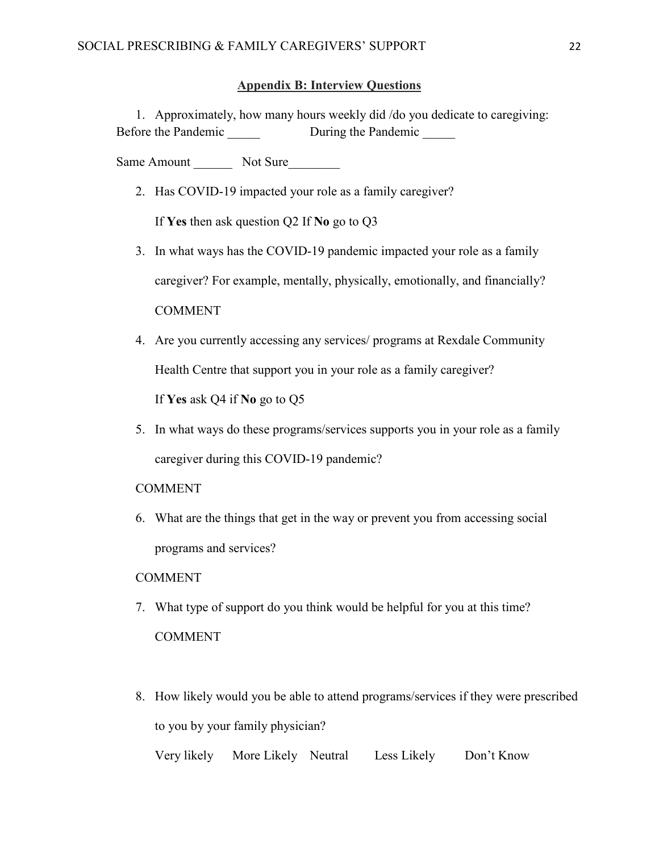## **Appendix B: Interview Questions**

1. Approximately, how many hours weekly did /do you dedicate to caregiving: Before the Pandemic During the Pandemic

Same Amount Not Sure

2. Has COVID-19 impacted your role as a family caregiver?

If **Yes** then ask question Q2 If **No** go to Q3

- 3. In what ways has the COVID-19 pandemic impacted your role as a family caregiver? For example, mentally, physically, emotionally, and financially? **COMMENT**
- 4. Are you currently accessing any services/ programs at Rexdale Community Health Centre that support you in your role as a family caregiver?

If **Yes** ask Q4 if **No** go to Q5

5. In what ways do these programs/services supports you in your role as a family caregiver during this COVID-19 pandemic?

## COMMENT

6. What are the things that get in the way or prevent you from accessing social programs and services?

### COMMENT

- 7. What type of support do you think would be helpful for you at this time? COMMENT
- 8. How likely would you be able to attend programs/services if they were prescribed to you by your family physician? Very likely More Likely Neutral Less Likely Don't Know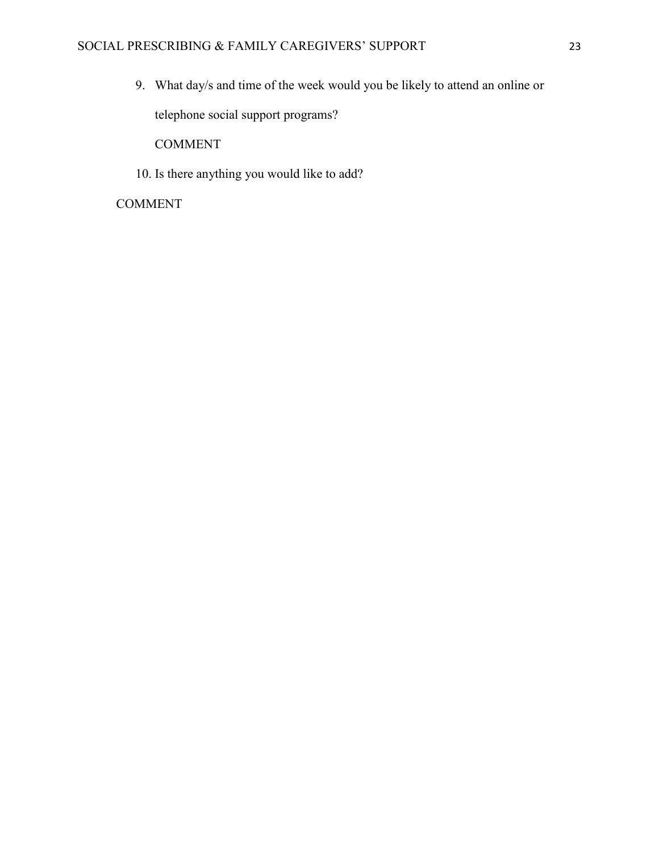9. What day/s and time of the week would you be likely to attend an online or telephone social support programs?

COMMENT

10. Is there anything you would like to add?

## COMMENT